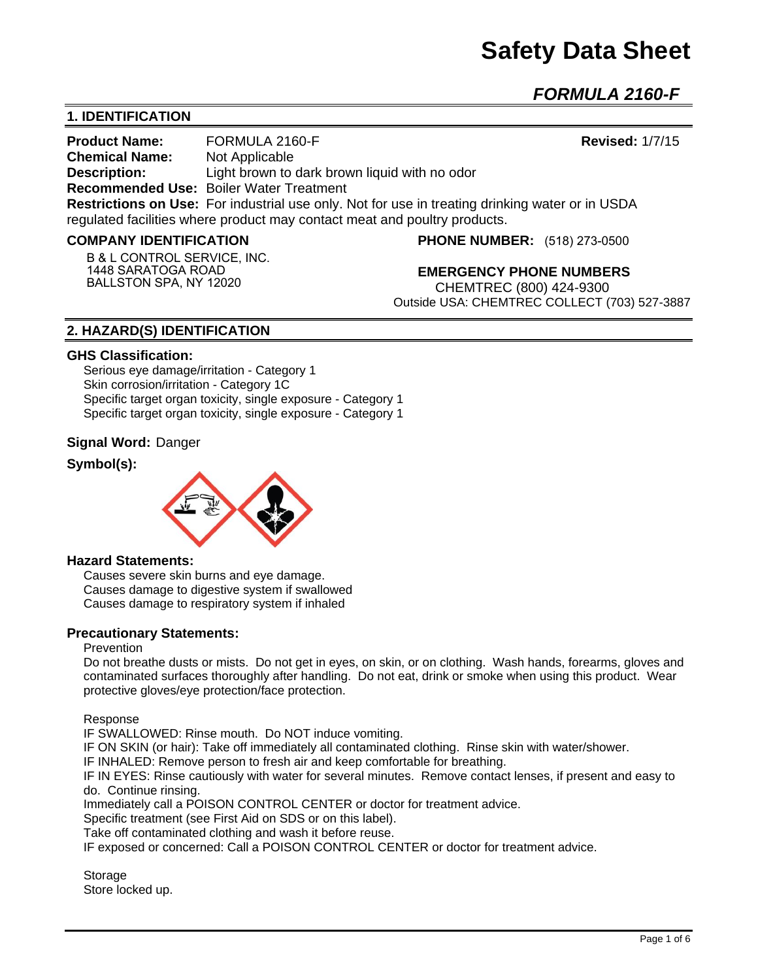*FORMULA 2160-F* 

# **1. IDENTIFICATION**

**Product Name:** FORMULA 2160-F **Revised:** 1/7/15 **Chemical Name:** Not Applicable **Description:** Light brown to dark brown liquid with no odor **Recommended Use:** Boiler Water Treatment **Restrictions on Use:** For industrial use only. Not for use in treating drinking water or in USDA regulated facilities where product may contact meat and poultry products.

#### **COMPANY IDENTIFICATION**

**B & L CONTROL SERVICE, INC. 1448 SARATOGA ROAD BALLSTON SPA, NY 12020**

**PHONE NUMBER:** (518) 273-0500

**EMERGENCY PHONE NUMBERS** CHEMTREC (800) 424-9300 Outside USA: CHEMTREC COLLECT (703) 527-3887

## **2. HAZARD(S) IDENTIFICATION**

#### **GHS Classification:**

Serious eye damage/irritation - Category 1 Skin corrosion/irritation - Category 1C Specific target organ toxicity, single exposure - Category 1 Specific target organ toxicity, single exposure - Category 1

#### **Signal Word:** Danger

## **Symbol(s):**



#### **Hazard Statements:**

Causes severe skin burns and eye damage. Causes damage to digestive system if swallowed Causes damage to respiratory system if inhaled

#### **Precautionary Statements:**

#### Prevention

Do not breathe dusts or mists. Do not get in eyes, on skin, or on clothing. Wash hands, forearms, gloves and contaminated surfaces thoroughly after handling. Do not eat, drink or smoke when using this product. Wear protective gloves/eye protection/face protection.

Response

IF SWALLOWED: Rinse mouth. Do NOT induce vomiting.

IF ON SKIN (or hair): Take off immediately all contaminated clothing. Rinse skin with water/shower.

IF INHALED: Remove person to fresh air and keep comfortable for breathing.

IF IN EYES: Rinse cautiously with water for several minutes. Remove contact lenses, if present and easy to do. Continue rinsing.

Immediately call a POISON CONTROL CENTER or doctor for treatment advice.

Specific treatment (see First Aid on SDS or on this label).

Take off contaminated clothing and wash it before reuse.

IF exposed or concerned: Call a POISON CONTROL CENTER or doctor for treatment advice.

**Storage** Store locked up.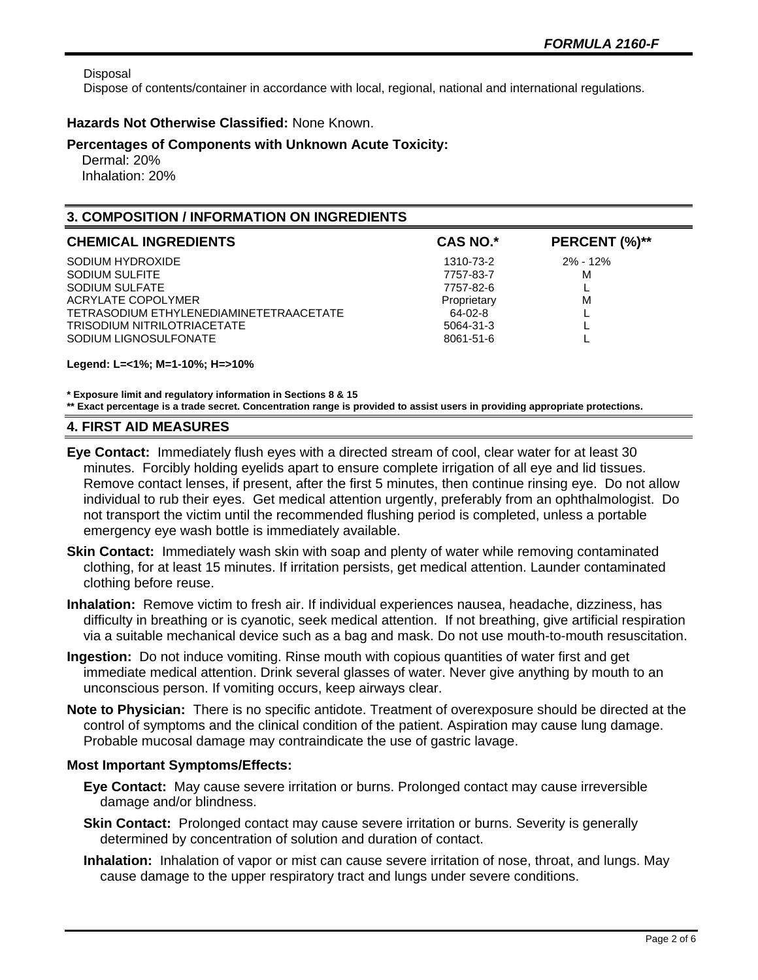Disposal

Dispose of contents/container in accordance with local, regional, national and international regulations.

#### **Hazards Not Otherwise Classified:** None Known.

#### **Percentages of Components with Unknown Acute Toxicity:**

 Dermal: 20% Inhalation: 20%

## **3. COMPOSITION / INFORMATION ON INGREDIENTS**

| <b>CAS NO.*</b> | PERCENT (%)** |
|-----------------|---------------|
| 1310-73-2       | $2\% - 12\%$  |
| 7757-83-7       | м             |
| 7757-82-6       |               |
| Proprietary     | M             |
| 64-02-8         |               |
| 5064-31-3       |               |
| 8061-51-6       |               |
|                 |               |

#### **Legend: L=<1%; M=1-10%; H=>10%**

**\* Exposure limit and regulatory information in Sections 8 & 15 \*\* Exact percentage is a trade secret. Concentration range is provided to assist users in providing appropriate protections.**

#### **4. FIRST AID MEASURES**

- **Eye Contact:** Immediately flush eyes with a directed stream of cool, clear water for at least 30 minutes. Forcibly holding eyelids apart to ensure complete irrigation of all eye and lid tissues. Remove contact lenses, if present, after the first 5 minutes, then continue rinsing eye. Do not allow individual to rub their eyes. Get medical attention urgently, preferably from an ophthalmologist. Do not transport the victim until the recommended flushing period is completed, unless a portable emergency eye wash bottle is immediately available.
- **Skin Contact:** Immediately wash skin with soap and plenty of water while removing contaminated clothing, for at least 15 minutes. If irritation persists, get medical attention. Launder contaminated clothing before reuse.
- **Inhalation:** Remove victim to fresh air. If individual experiences nausea, headache, dizziness, has difficulty in breathing or is cyanotic, seek medical attention. If not breathing, give artificial respiration via a suitable mechanical device such as a bag and mask. Do not use mouth-to-mouth resuscitation.
- **Ingestion:** Do not induce vomiting. Rinse mouth with copious quantities of water first and get immediate medical attention. Drink several glasses of water. Never give anything by mouth to an unconscious person. If vomiting occurs, keep airways clear.
- **Note to Physician:** There is no specific antidote. Treatment of overexposure should be directed at the control of symptoms and the clinical condition of the patient. Aspiration may cause lung damage. Probable mucosal damage may contraindicate the use of gastric lavage.

#### **Most Important Symptoms/Effects:**

- **Eye Contact:** May cause severe irritation or burns. Prolonged contact may cause irreversible damage and/or blindness.
- **Skin Contact:** Prolonged contact may cause severe irritation or burns. Severity is generally determined by concentration of solution and duration of contact.
- **Inhalation:** Inhalation of vapor or mist can cause severe irritation of nose, throat, and lungs. May cause damage to the upper respiratory tract and lungs under severe conditions.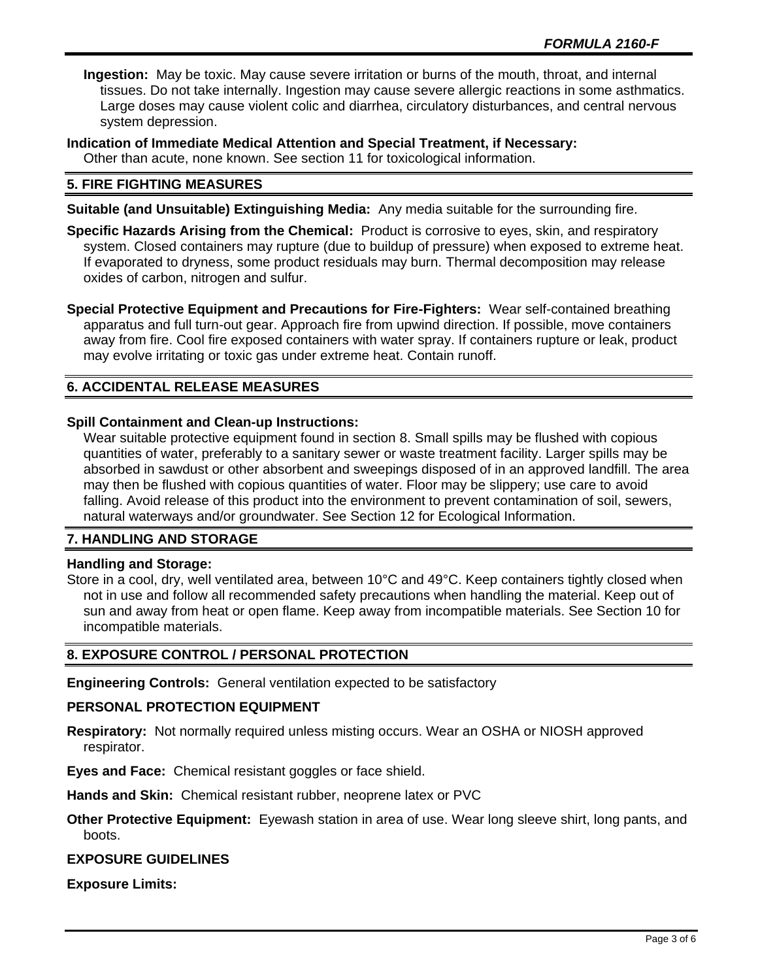**Ingestion:** May be toxic. May cause severe irritation or burns of the mouth, throat, and internal tissues. Do not take internally. Ingestion may cause severe allergic reactions in some asthmatics. Large doses may cause violent colic and diarrhea, circulatory disturbances, and central nervous system depression.

**Indication of Immediate Medical Attention and Special Treatment, if Necessary:**

Other than acute, none known. See section 11 for toxicological information.

## **5. FIRE FIGHTING MEASURES**

**Suitable (and Unsuitable) Extinguishing Media:** Any media suitable for the surrounding fire.

- **Specific Hazards Arising from the Chemical:** Product is corrosive to eyes, skin, and respiratory system. Closed containers may rupture (due to buildup of pressure) when exposed to extreme heat. If evaporated to dryness, some product residuals may burn. Thermal decomposition may release oxides of carbon, nitrogen and sulfur.
- **Special Protective Equipment and Precautions for Fire-Fighters:** Wear self-contained breathing apparatus and full turn-out gear. Approach fire from upwind direction. If possible, move containers away from fire. Cool fire exposed containers with water spray. If containers rupture or leak, product may evolve irritating or toxic gas under extreme heat. Contain runoff.

# **6. ACCIDENTAL RELEASE MEASURES**

## **Spill Containment and Clean-up Instructions:**

Wear suitable protective equipment found in section 8. Small spills may be flushed with copious quantities of water, preferably to a sanitary sewer or waste treatment facility. Larger spills may be absorbed in sawdust or other absorbent and sweepings disposed of in an approved landfill. The area may then be flushed with copious quantities of water. Floor may be slippery; use care to avoid falling. Avoid release of this product into the environment to prevent contamination of soil, sewers, natural waterways and/or groundwater. See Section 12 for Ecological Information.

#### **7. HANDLING AND STORAGE**

#### **Handling and Storage:**

Store in a cool, dry, well ventilated area, between 10°C and 49°C. Keep containers tightly closed when not in use and follow all recommended safety precautions when handling the material. Keep out of sun and away from heat or open flame. Keep away from incompatible materials. See Section 10 for incompatible materials.

#### **8. EXPOSURE CONTROL / PERSONAL PROTECTION**

**Engineering Controls:** General ventilation expected to be satisfactory

#### **PERSONAL PROTECTION EQUIPMENT**

**Respiratory:** Not normally required unless misting occurs. Wear an OSHA or NIOSH approved respirator.

**Eyes and Face:** Chemical resistant goggles or face shield.

**Hands and Skin:** Chemical resistant rubber, neoprene latex or PVC

**Other Protective Equipment:** Eyewash station in area of use. Wear long sleeve shirt, long pants, and boots.

#### **EXPOSURE GUIDELINES**

**Exposure Limits:**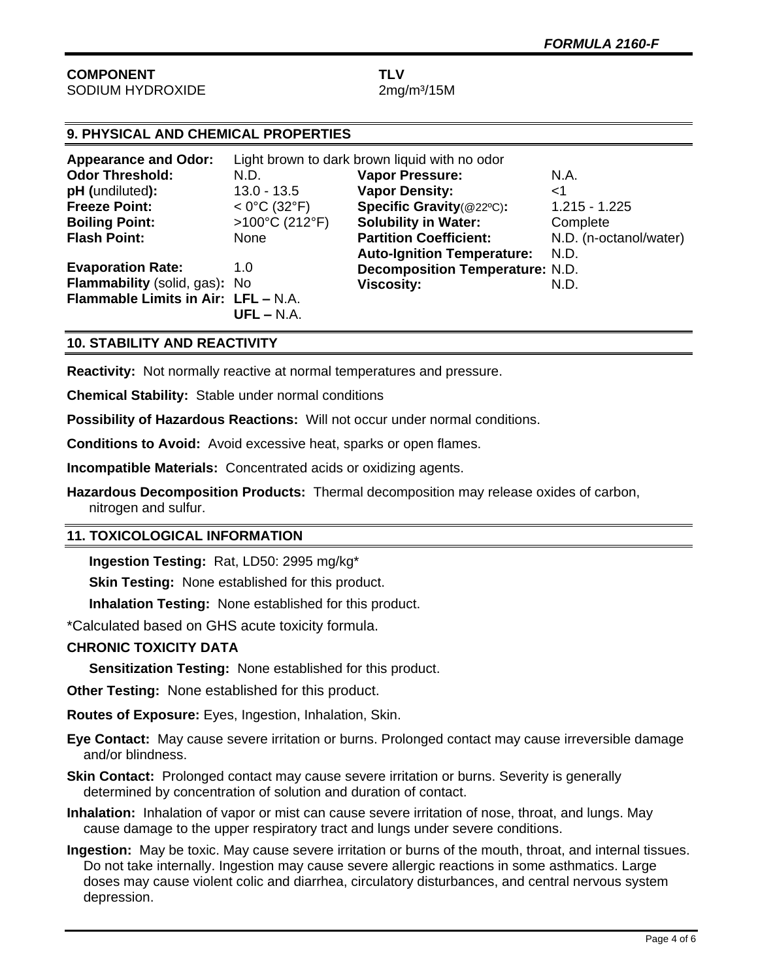#### **COMPONENT TLV** SODIUM HYDROXIDE 2mg/m<sup>3</sup>/15M

# **9. PHYSICAL AND CHEMICAL PROPERTIES**

| <b>Appearance and Odor:</b>         | Light brown to dark brown liquid with no odor |                                        |                        |
|-------------------------------------|-----------------------------------------------|----------------------------------------|------------------------|
| <b>Odor Threshold:</b>              | N.D.                                          | <b>Vapor Pressure:</b>                 | N.A.                   |
| pH (undiluted):                     | $13.0 - 13.5$                                 | <b>Vapor Density:</b>                  | ا>                     |
| <b>Freeze Point:</b>                | $< 0^{\circ}$ C (32 $^{\circ}$ F)             | Specific Gravity(@22°C):               | $1.215 - 1.225$        |
| <b>Boiling Point:</b>               | $>100^{\circ}$ C (212°F)                      | <b>Solubility in Water:</b>            | Complete               |
| <b>Flash Point:</b>                 | None                                          | <b>Partition Coefficient:</b>          | N.D. (n-octanol/water) |
|                                     |                                               | <b>Auto-Ignition Temperature:</b>      | N.D.                   |
| <b>Evaporation Rate:</b>            | 1.0                                           | <b>Decomposition Temperature: N.D.</b> |                        |
| Flammability (solid, gas): No       |                                               | <b>Viscosity:</b>                      | N.D.                   |
| Flammable Limits in Air: LFL - N.A. |                                               |                                        |                        |
|                                     | $UFL - N.A.$                                  |                                        |                        |

## **10. STABILITY AND REACTIVITY**

**Reactivity:** Not normally reactive at normal temperatures and pressure.

**Chemical Stability:** Stable under normal conditions

**Possibility of Hazardous Reactions:** Will not occur under normal conditions.

**Conditions to Avoid:** Avoid excessive heat, sparks or open flames.

**Incompatible Materials:** Concentrated acids or oxidizing agents.

**Hazardous Decomposition Products:** Thermal decomposition may release oxides of carbon, nitrogen and sulfur.

#### **11. TOXICOLOGICAL INFORMATION**

**Ingestion Testing:** Rat, LD50: 2995 mg/kg\*

**Skin Testing: None established for this product.** 

**Inhalation Testing:** None established for this product.

\*Calculated based on GHS acute toxicity formula.

#### **CHRONIC TOXICITY DATA**

**Sensitization Testing:** None established for this product.

**Other Testing:** None established for this product.

**Routes of Exposure:** Eyes, Ingestion, Inhalation, Skin.

**Eye Contact:** May cause severe irritation or burns. Prolonged contact may cause irreversible damage and/or blindness.

- **Skin Contact:** Prolonged contact may cause severe irritation or burns. Severity is generally determined by concentration of solution and duration of contact.
- **Inhalation:** Inhalation of vapor or mist can cause severe irritation of nose, throat, and lungs. May cause damage to the upper respiratory tract and lungs under severe conditions.
- **Ingestion:** May be toxic. May cause severe irritation or burns of the mouth, throat, and internal tissues. Do not take internally. Ingestion may cause severe allergic reactions in some asthmatics. Large doses may cause violent colic and diarrhea, circulatory disturbances, and central nervous system depression.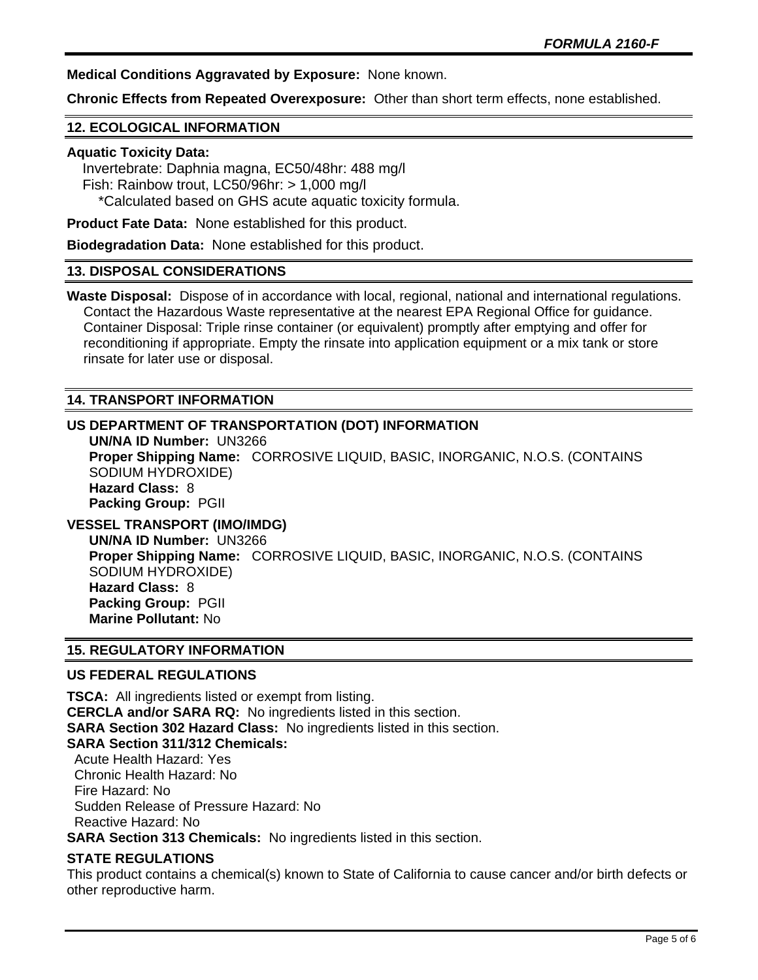**Medical Conditions Aggravated by Exposure:** None known.

**Chronic Effects from Repeated Overexposure:** Other than short term effects, none established.

#### **12. ECOLOGICAL INFORMATION**

#### **Aquatic Toxicity Data:**

 Invertebrate: Daphnia magna, EC50/48hr: 488 mg/l Fish: Rainbow trout, LC50/96hr: > 1,000 mg/l \*Calculated based on GHS acute aquatic toxicity formula.

**Product Fate Data:** None established for this product.

**Biodegradation Data:** None established for this product.

#### **13. DISPOSAL CONSIDERATIONS**

**Waste Disposal:** Dispose of in accordance with local, regional, national and international regulations. Contact the Hazardous Waste representative at the nearest EPA Regional Office for guidance. Container Disposal: Triple rinse container (or equivalent) promptly after emptying and offer for reconditioning if appropriate. Empty the rinsate into application equipment or a mix tank or store rinsate for later use or disposal.

#### **14. TRANSPORT INFORMATION**

## **US DEPARTMENT OF TRANSPORTATION (DOT) INFORMATION**

**UN/NA ID Number:** UN3266 **Proper Shipping Name:** CORROSIVE LIQUID, BASIC, INORGANIC, N.O.S. (CONTAINS SODIUM HYDROXIDE) **Hazard Class:** 8 **Packing Group:** PGII

# **VESSEL TRANSPORT (IMO/IMDG)**

**UN/NA ID Number:** UN3266 **Proper Shipping Name:** CORROSIVE LIQUID, BASIC, INORGANIC, N.O.S. (CONTAINS SODIUM HYDROXIDE) **Hazard Class:** 8 **Packing Group:** PGII **Marine Pollutant:** No

#### **15. REGULATORY INFORMATION**

#### **US FEDERAL REGULATIONS**

**TSCA:** All ingredients listed or exempt from listing. **CERCLA and/or SARA RQ:** No ingredients listed in this section. **SARA Section 302 Hazard Class:** No ingredients listed in this section. **SARA Section 311/312 Chemicals:**  Acute Health Hazard: Yes Chronic Health Hazard: No Fire Hazard: No Sudden Release of Pressure Hazard: No Reactive Hazard: No **SARA Section 313 Chemicals:** No ingredients listed in this section.

#### **STATE REGULATIONS**

This product contains a chemical(s) known to State of California to cause cancer and/or birth defects or other reproductive harm.